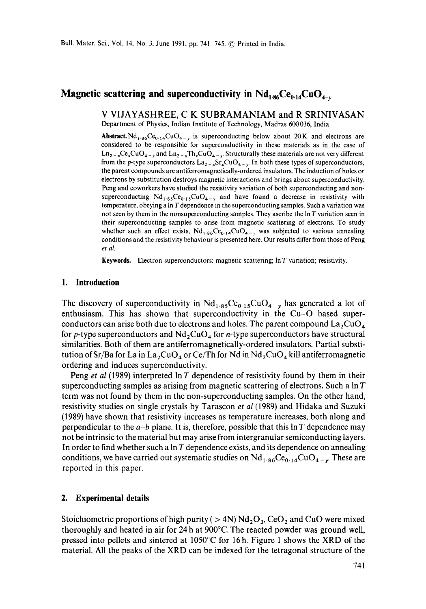# **Magnetic scattering and superconductivity in**  $Nd_{1.86}Ce_{0.14}CuO_{4-v}$

#### **V VIJAYASHREE, C K SUBRAMANIAM and R** SRINIVASAN Department of Physics, Indian Institute of Technology, Madras 600 036, India

**Abstract.** Nd<sub>1.86</sub>Ce<sub>0.14</sub>CuO<sub>4-y</sub> is superconducting below about 20K and electrons are considered to be responsible for superconductivity in these materials as in the case of  $\text{Ln}_{2-x}\text{Ce}_x\text{CuO}_{4-y}$  and  $\text{Ln}_{2-x}\text{Th}_x\text{CuO}_{4-y}$ . Structurally these materials are not very different from the p-type superconductors  $\text{La}_{2-x}\text{Sr}_{x}\text{CuO}_{4-x}$ . In both these types of superconductors, the parent compounds are antiferromagnetically-ordered insulators. The induction of holes or electrons by substitution destroys magnetic interactions and brings about superconductivity. Peng and coworkers have studied the resistivity variation of both superconducting and nonsuperconducting  $Nd_{1.85}Ce_{0.15}CuO_{4-x}$  and have found a decrease in resistivity with temperature, obeying a  $\ln T$  dependence in the superconducting samples. Such a variation was not seen by them in the nonsuperconducting samples. They ascribe the In T variation seen in their superconducting samples to arise from magnetic scattering of electrons. To study whether such an effect exists,  $Nd_{1.86}Ce_{0.14}CuO_{4-v}$  was subjected to various annealing conditions and the resistivity behaviour is presented here. Our results differ from those of Peng *et al.* 

**Keywords.** Electron superconductors; magnetic scattering; In T variation; resistivity.

#### **1. Introduction**

The discovery of superconductivity in  $Nd_{1.85}Ce_{0.15}CuO_{4-v}$  has generated a lot of enthusiasm. This has shown that superconductivity in the Cu-O based superconductors can arise both due to electrons and holes. The parent compound  $La_2CuO<sub>4</sub>$ for p-type superconductors and  $Nd$ , CuO<sub>4</sub> for *n*-type superconductors have structural similarities. Both of them are antiferromagnetically-ordered insulators. Partial substitution of Sr/Ba for La in La<sub>2</sub>CuO<sub>4</sub> or Ce/Th for Nd in Nd<sub>2</sub>CuO<sub>4</sub> kill antiferromagnetic ordering and induces superconductivity.

Peng *et al* (1989) interpreted  $\ln T$  dependence of resistivity found by them in their superconducting samples as arising from magnetic scattering of electrons. Such a In T term was not found by them in the non-superconducting samples. On the other hand, resistivity studies on single crystals by Tarascon *et al* (1989) and Hidaka and Suzuki (1989) have shown that resistivity increases as temperature increases, both along and perpendicular to the  $a-b$  plane. It is, therefore, possible that this  $\ln T$  dependence may not be intrinsic to the material but may arise from intergranular semiconducting layers. In order to find whether such a  $\ln T$  dependence exists, and its dependence on annealing conditions, we have carried out systematic studies on  $Nd_{1.86}Ce_{0.14}CuO_{4-v}$ . These are reported in this paper.

#### **2. Experimental details**

Stoichiometric proportions of high purity ( $> 4N$ ) Nd<sub>2</sub>O<sub>3</sub>, CeO<sub>2</sub> and CuO were mixed thoroughly and heated in air for 24 h at 900°C. The reacted powder was ground well, pressed into pellets and sintered at  $1050^{\circ}$ C for 16h. Figure 1 shows the XRD of the material. All the peaks of the XRD can be indexed for the tetragonal structure of the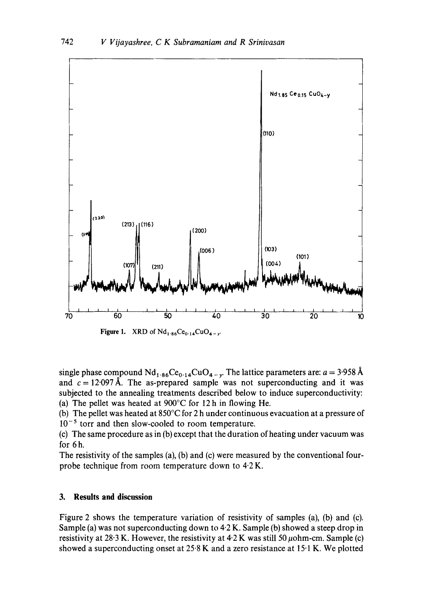

**Figure 1.** XRD of  $Nd_{1.86}Ce_{0.14}CuO_{4-y}$ .

single phase compound  $Nd_{1.86}Ce_{0.14}CuO_{4-v}$ . The lattice parameters are:  $a = 3.958 \text{ Å}$ and  $c = 12.097 \text{ Å}$ . The as-prepared sample was not superconducting and it was subjected to the annealing treatments described below to induce superconductivity: (a) The pellet was heated at 900°C for 12h in flowing He.

(b) The pellet was heated at 850°C for 2 h under continuous evacuation at a pressure of  $10^{-5}$  torr and then slow-cooled to room temperature.

(c) The same procedure as in (b) except that the duration of heating under vacuum was for 6h.

The resistivity of the samples (a), (b) and (c) were measured by the conventional fourprobe technique from room temperature down to  $4.2 K$ .

### **3.** Results and discussion

Figure 2 shows the temperature variation of resistivity of samples (a), (b) and (c). Sample (a) was not superconducting down to 4.2 K. Sample (b) showed a steep drop in resistivity at 28.3 K. However, the resistivity at  $4.2$  K was still 50  $\mu$ ohm-cm. Sample (c) showed a superconducting onset at 25.8 K and a zero resistance at 15.1 K. We plotted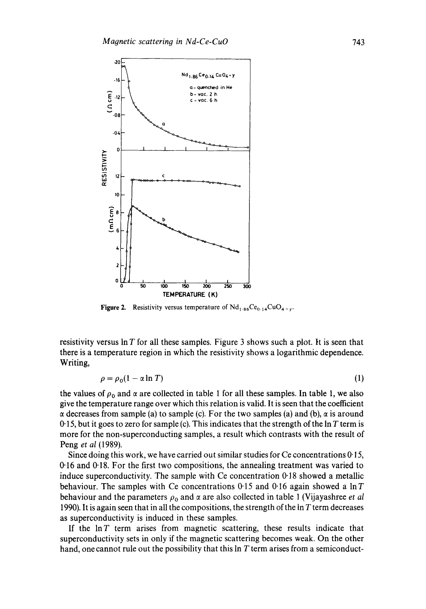

**Figure 2.** Resistivity versus temperature of  $Nd_{1.86}Ce_{0.14}CuO_{4-y}$ .

resistivity versus  $\ln T$  for all these samples. Figure 3 shows such a plot. It is seen that there is a temperature region in which the resistivity shows a logarithmic dependence. Writing,

$$
\rho = \rho_0 (1 - \alpha \ln T) \tag{1}
$$

the values of  $\rho_0$  and  $\alpha$  are collected in table 1 for all these samples. In table 1, we also give the temperature range over which this relation is valid. It is seen that the coefficient  $\alpha$  decreases from sample (a) to sample (c). For the two samples (a) and (b),  $\alpha$  is around 0.15, but it goes to zero for sample (c). This indicates that the strength of the  $\ln T$  term is more for the non-superconducting samples, a result which contrasts with the result of Peng *et al* (1989).

Since doing this work, we have carried out similar studies for  $Ce$  concentrations  $0.15$ , 0"16 and 0"18. For the first two compositions, the annealing treatment was varied to induce superconductivity. The sample with  $Ce$  concentration  $0.18$  showed a metallic behaviour. The samples with Ce concentrations  $0.15$  and  $0.16$  again showed a lnT behaviour and the parameters  $\rho_0$  and  $\alpha$  are also collected in table 1 (Vijayashree *et al* 1990). It is again seen that in all the compositions, the strength of the  $\ln T$  term decreases as superconductivity is induced in these samples.

If the  $\ln T$  term arises from magnetic scattering, these results indicate that superconductivity sets in only if the magnetic scattering becomes weak. On the other hand, one cannot rule out the possibility that this In T term arises from a semiconduct-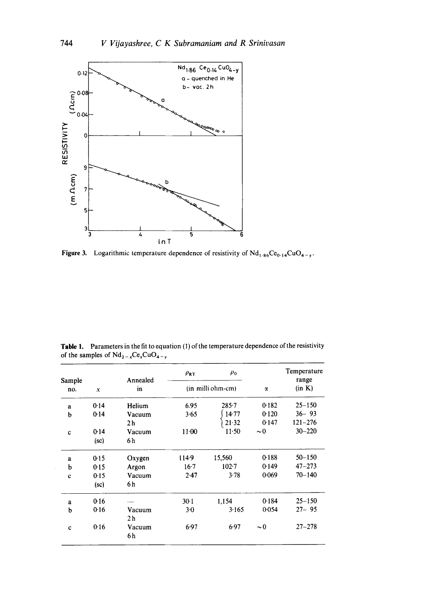

Figure 3. Logarithmic temperature dependence of resistivity of  $Nd_{1.86}Ce_{0.14}CuO_{4-y}$ .

Table 1. Parameters in the fit to equation (1) of the temperature dependence of the resistivity of the samples of  $Nd_{2-x}Ce_xCuO_{4-y}$ 

| Sample<br>no. |                 | Annealed<br>in | $\rho_{\rm RT}$   | $\rho_0$  |          | Temperature<br>range |
|---------------|-----------------|----------------|-------------------|-----------|----------|----------------------|
|               | x               |                | (in milli ohm-cm) |           | α        | (in K)               |
| a             | 0.14            | Helium         | 6.95              | $285 - 7$ | 0.182    | $25 - 150$           |
| $\mathbf b$   | 0.14            | Vacuum         | 3.65              | 14.77     | 0.120    | $36 - 93$            |
|               |                 | 2 <sub>h</sub> |                   | $21 - 32$ | 0.147    | $121 - 276$          |
| c             | 0.14            | Vacuum         | $11 - 00$         | $11-50$   | $\sim 0$ | $30 - 220$           |
|               | $({\rm sc})$    | 6 h            |                   |           |          |                      |
| $\mathbf{a}$  | 0.15            | Oxygen         | 114.9             | 15,560    | 0.188    | $50 - 150$           |
| b             | 0.15            | Argon          | $16 - 7$          | $102 - 7$ | 0.149    | $47 - 273$           |
| $\mathbf c$   | 0.15            | Vacuum         | 2.47              | 3.78      | 0.069    | $70 - 140$           |
|               | $(\mathbf{sc})$ | 6 h            |                   |           |          |                      |
| a             | 0.16            |                | $30-1$            | 1.154     | 0.184    | $25 - 150$           |
| b             | 0.16            | Vacuum         | $3-0$             | 3.165     | 0.054    | $27 - 95$            |
|               |                 | 2 h            |                   |           |          |                      |
| $\mathbf c$   | 0.16            | Vacuum         | 6.97              | 6.97      | $\sim 0$ | $27 - 278$           |
|               |                 | 6 h            |                   |           |          |                      |